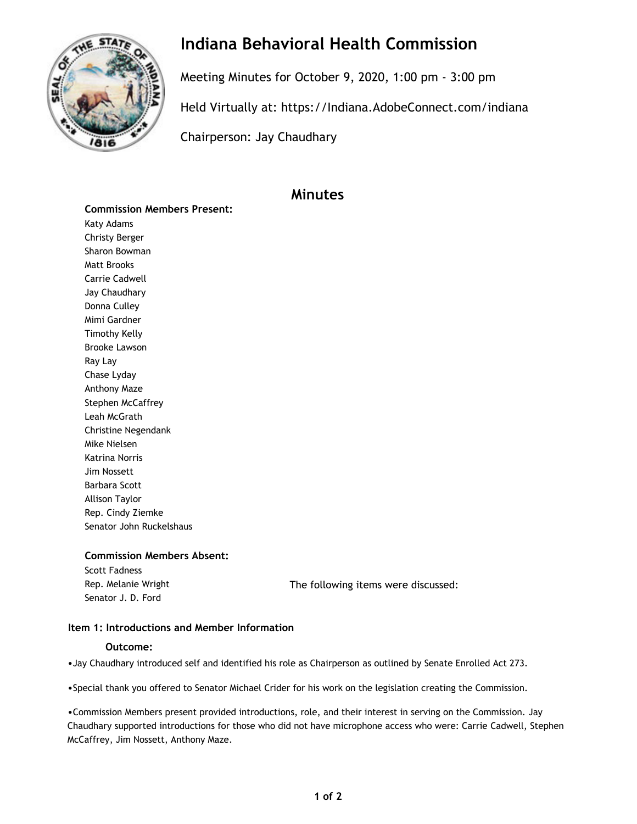

## **Indiana Behavioral Health Commission**

Meeting Minutes for October 9, 2020, 1:00 pm - 3:00 pm

Held Virtually at:<https://Indiana.AdobeConnect.com/indiana>

Chairperson: Jay Chaudhary

### **Minutes**

**Commission Members Present:** Katy Adams Christy Berger Sharon Bowman Matt Brooks Carrie Cadwell Jay Chaudhary Donna Culley Mimi Gardner Timothy Kelly Brooke Lawson Ray Lay Chase Lyday Anthony Maze Stephen McCaffrey Leah McGrath Christine Negendank Mike Nielsen Katrina Norris Jim Nossett Barbara Scott Allison Taylor Rep. Cindy Ziemke Senator John Ruckelshaus

#### **Commission Members Absent:**

Scott Fadness Senator J. D. Ford

Rep. Melanie Wright The following items were discussed:

#### **Item 1: Introductions and Member Information**

#### **Outcome:**

•Jay Chaudhary introduced self and identified his role as Chairperson as outlined by Senate Enrolled Act 273.

•Special thank you offered to Senator Michael Crider for his work on the legislation creating the Commission.

•Commission Members present provided introductions, role, and their interest in serving on the Commission. Jay Chaudhary supported introductions for those who did not have microphone access who were: Carrie Cadwell, Stephen McCaffrey, Jim Nossett, Anthony Maze.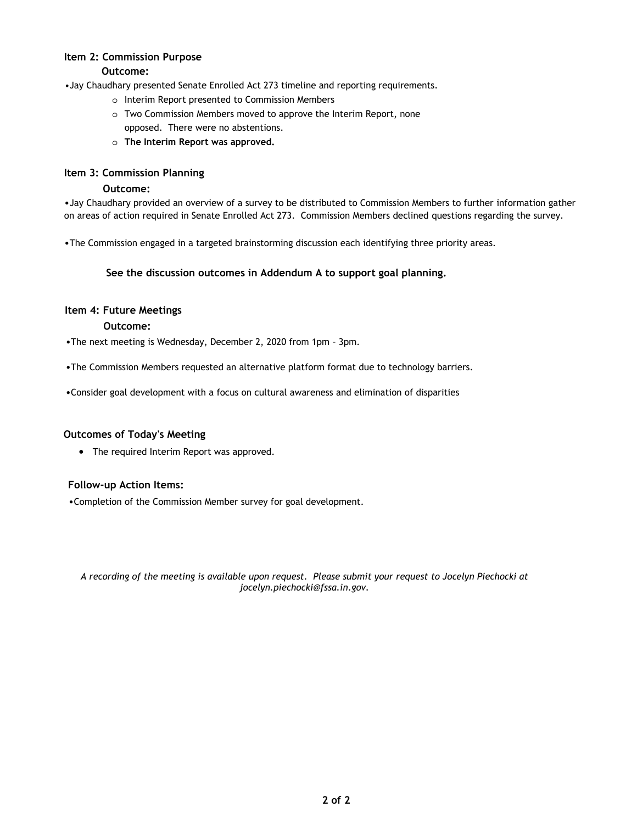#### **Item 2: Commission Purpose Outcome:**

•Jay Chaudhary presented Senate Enrolled Act 273 timeline and reporting requirements.

- o Interim Report presented to Commission Members
- o Two Commission Members moved to approve the Interim Report, none opposed. There were no abstentions.
- o **The Interim Report was approved.**

#### **Item 3: Commission Planning**

#### **Outcome:**

•Jay Chaudhary provided an overview of a survey to be distributed to Commission Members to further information gather on areas of action required in Senate Enrolled Act 273. Commission Members declined questions regarding the survey.

•The Commission engaged in a targeted brainstorming discussion each identifying three priority areas.

#### **See the discussion outcomes in Addendum A to support goal planning.**

#### **Item 4: Future Meetings**

#### **Outcome:**

•The next meeting is Wednesday, December 2, 2020 from 1pm – 3pm.

•The Commission Members requested an alternative platform format due to technology barriers.

•Consider goal development with a focus on cultural awareness and elimination of disparities

#### **Outcomes of Today's Meeting**

• The required Interim Report was approved.

#### **Follow-up Action Items:**

•Completion of the Commission Member survey for goal development.

*A recording of the meeting is available upon request. Please submit your request to Jocelyn Piechocki at [jocelyn.piechocki@fssa.in.gov.](mailto:jocelyn.piechocki@fssa.in.gov)*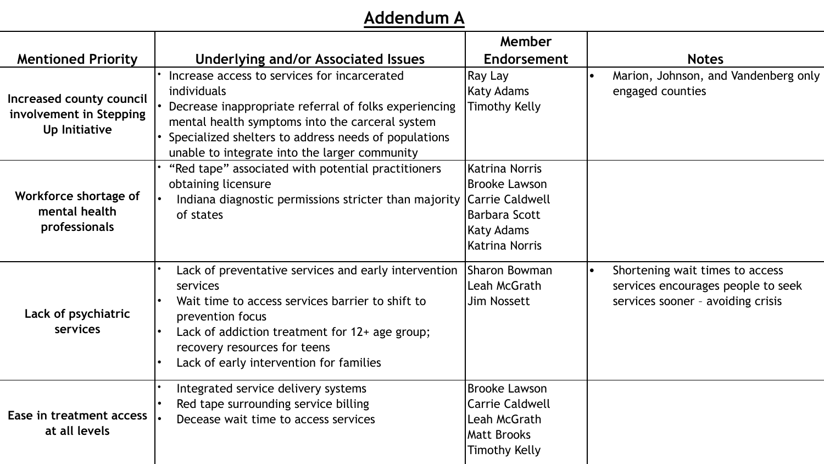# **Addendum A**

|                                                                      |                                                                                                                                                                                                                                                                                  | Member                                                                                                                          |                                                                                                            |
|----------------------------------------------------------------------|----------------------------------------------------------------------------------------------------------------------------------------------------------------------------------------------------------------------------------------------------------------------------------|---------------------------------------------------------------------------------------------------------------------------------|------------------------------------------------------------------------------------------------------------|
| <b>Mentioned Priority</b>                                            | Underlying and/or Associated Issues                                                                                                                                                                                                                                              | Endorsement                                                                                                                     | <b>Notes</b>                                                                                               |
| Increased county council<br>involvement in Stepping<br>Up Initiative | Increase access to services for incarcerated<br>individuals<br>Decrease inappropriate referral of folks experiencing<br>mental health symptoms into the carceral system<br>Specialized shelters to address needs of populations<br>unable to integrate into the larger community | Ray Lay<br><b>Katy Adams</b><br><b>Timothy Kelly</b>                                                                            | Marion, Johnson, and Vandenberg only<br>engaged counties                                                   |
| Workforce shortage of<br>mental health<br>professionals              | "Red tape" associated with potential practitioners<br>obtaining licensure<br>Indiana diagnostic permissions stricter than majority<br>of states                                                                                                                                  | Katrina Norris<br><b>Brooke Lawson</b><br>Carrie Caldwell<br><b>Barbara Scott</b><br><b>Katy Adams</b><br><b>Katrina Norris</b> |                                                                                                            |
| Lack of psychiatric<br>services                                      | Lack of preventative services and early intervention<br>services<br>Wait time to access services barrier to shift to<br>prevention focus<br>Lack of addiction treatment for 12+ age group;<br>recovery resources for teens<br>Lack of early intervention for families            | <b>Sharon Bowman</b><br>Leah McGrath<br><b>Jim Nossett</b>                                                                      | Shortening wait times to access<br>services encourages people to seek<br>services sooner - avoiding crisis |
| Ease in treatment access<br>at all levels                            | Integrated service delivery systems<br>Red tape surrounding service billing<br>Decease wait time to access services                                                                                                                                                              | <b>Brooke Lawson</b><br><b>Carrie Caldwell</b><br>Leah McGrath<br><b>Matt Brooks</b><br><b>Timothy Kelly</b>                    |                                                                                                            |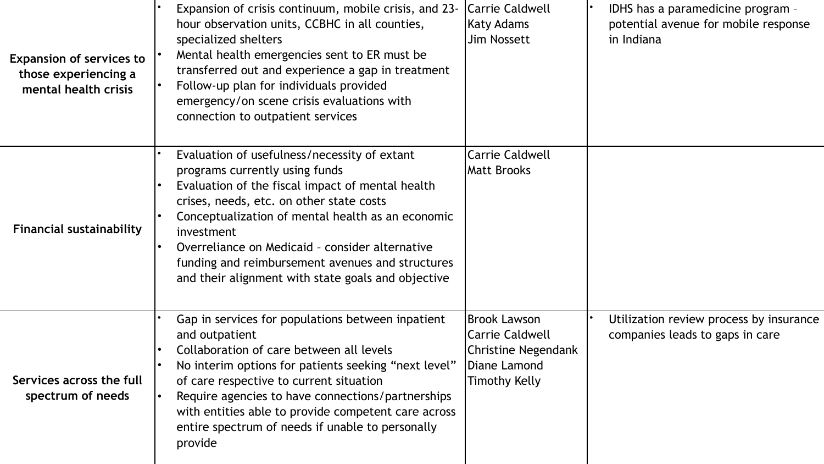| <b>Expansion of services to</b><br>those experiencing a<br>mental health crisis | Expansion of crisis continuum, mobile crisis, and 23-<br>hour observation units, CCBHC in all counties,<br>specialized shelters<br>Mental health emergencies sent to ER must be<br>transferred out and experience a gap in treatment<br>Follow-up plan for individuals provided<br>emergency/on scene crisis evaluations with<br>connection to outpatient services                                             | Carrie Caldwell<br>Katy Adams<br>Jim Nossett                                                                 | IDHS has a paramedicine program -<br>potential avenue for mobile response<br>in Indiana |
|---------------------------------------------------------------------------------|----------------------------------------------------------------------------------------------------------------------------------------------------------------------------------------------------------------------------------------------------------------------------------------------------------------------------------------------------------------------------------------------------------------|--------------------------------------------------------------------------------------------------------------|-----------------------------------------------------------------------------------------|
| <b>Financial sustainability</b>                                                 | Evaluation of usefulness/necessity of extant<br>programs currently using funds<br>Evaluation of the fiscal impact of mental health<br>crises, needs, etc. on other state costs<br>Conceptualization of mental health as an economic<br>investment<br>Overreliance on Medicaid - consider alternative<br>funding and reimbursement avenues and structures<br>and their alignment with state goals and objective | <b>Carrie Caldwell</b><br>Matt Brooks                                                                        |                                                                                         |
| Services across the full<br>spectrum of needs                                   | Gap in services for populations between inpatient<br>and outpatient<br>Collaboration of care between all levels<br>No interim options for patients seeking "next level"<br>of care respective to current situation<br>Require agencies to have connections/partnerships<br>with entities able to provide competent care across<br>entire spectrum of needs if unable to personally<br>provide                  | <b>Brook Lawson</b><br>Carrie Caldwell<br><b>Christine Negendank</b><br>Diane Lamond<br><b>Timothy Kelly</b> | Utilization review process by insurance<br>companies leads to gaps in care              |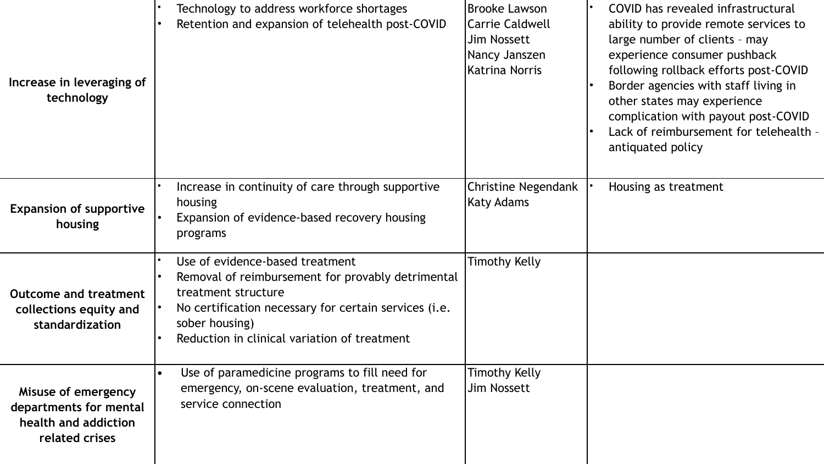| Increase in leveraging of<br>technology                                                 | Technology to address workforce shortages<br>Retention and expansion of telehealth post-COVID                                                                                                                                          | <b>Brooke Lawson</b><br><b>Carrie Caldwell</b><br><b>Jim Nossett</b><br>Nancy Janszen<br><b>Katrina Norris</b> | COVID has revealed infrastructural<br>ability to provide remote services to<br>large number of clients - may<br>experience consumer pushback<br>following rollback efforts post-COVID<br>Border agencies with staff living in<br>other states may experience<br>complication with payout post-COVID<br>Lack of reimbursement for telehealth -<br>antiquated policy |
|-----------------------------------------------------------------------------------------|----------------------------------------------------------------------------------------------------------------------------------------------------------------------------------------------------------------------------------------|----------------------------------------------------------------------------------------------------------------|--------------------------------------------------------------------------------------------------------------------------------------------------------------------------------------------------------------------------------------------------------------------------------------------------------------------------------------------------------------------|
| <b>Expansion of supportive</b><br>housing                                               | Increase in continuity of care through supportive<br>housing<br>Expansion of evidence-based recovery housing<br>programs                                                                                                               | <b>Christine Negendank</b><br>Katy Adams                                                                       | Housing as treatment                                                                                                                                                                                                                                                                                                                                               |
| <b>Outcome and treatment</b><br>collections equity and<br>standardization               | Use of evidence-based treatment<br>Removal of reimbursement for provably detrimental<br>treatment structure<br>No certification necessary for certain services (i.e.<br>sober housing)<br>Reduction in clinical variation of treatment | <b>Timothy Kelly</b>                                                                                           |                                                                                                                                                                                                                                                                                                                                                                    |
| Misuse of emergency<br>departments for mental<br>health and addiction<br>related crises | Use of paramedicine programs to fill need for<br>$\bullet$<br>emergency, on-scene evaluation, treatment, and<br>service connection                                                                                                     | <b>Timothy Kelly</b><br>Jim Nossett                                                                            |                                                                                                                                                                                                                                                                                                                                                                    |